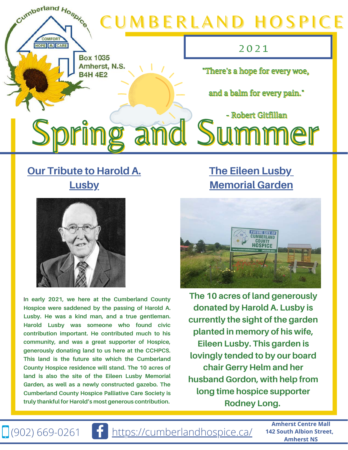

#### **Our Tribute to Harold A. Lusby**



I**n early 2021, we here at the Cumberland County Hospice were saddened by the passing of Harold A. Lusby. He was a kind man, and a true gentleman. Harold Lusby was someone who found civic contribution important. He contributed much to his community, and was a great supporter of Hospice, generously donating land to us here at the CCHPCS. This land is the future site which the Cumberland County Hospice residence will stand. The 10 acres of land is also the site of the Eileen Lusby Memorial Garden, as well as a newly constructed gazebo. The Cumberland County Hospice Palliative Care Society is truly thankful for Harold's most generous contribution.** 

i.

### **The Eileen Lusby Memorial Garden**



**The 10 acres of land generously donated by Harold A. Lusby is currently the sight of the garden planted in memory of his wife, Eileen Lusby. This garden is lovingly tended to by our board chair Gerry Helm and her husband Gordon, with help from long time hospice supporter Rodney Long.**

 $\Box$  (902) 669-0261  $\Box$  <https://cumberlandhospice.ca/>

**Amherst Centre Mall 142 South Albion Street, Amherst NS**